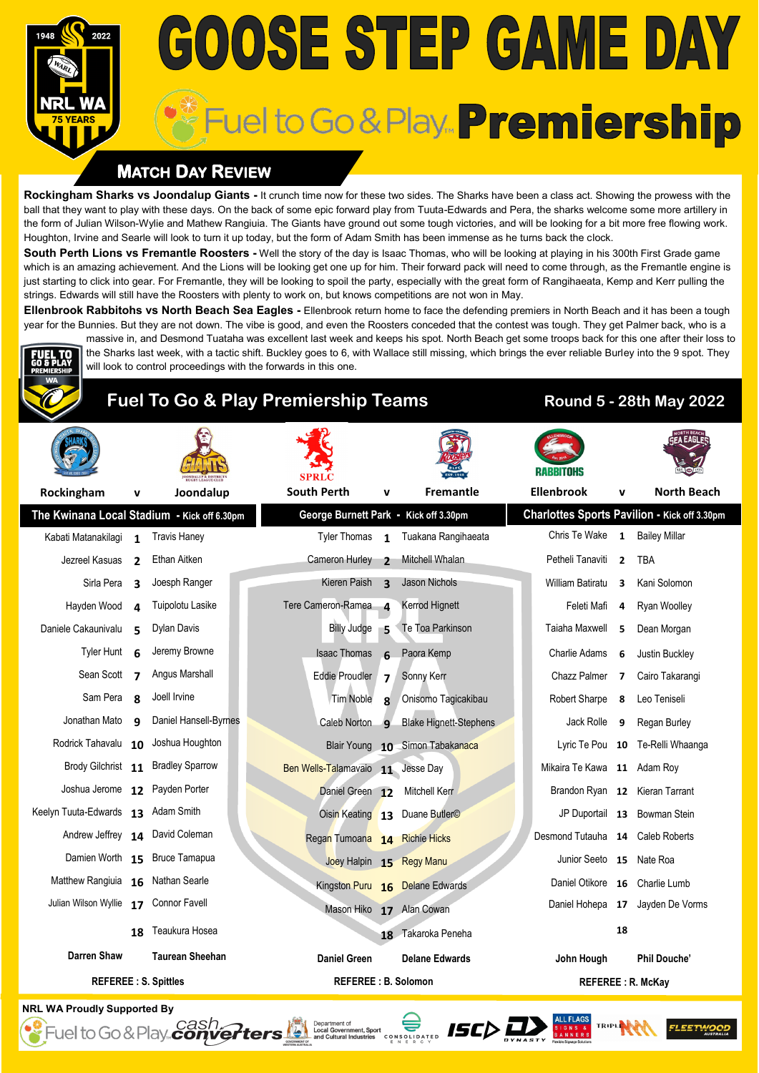# **GOOSE STEP GAME DAY** Fuel to Go & Play... Premiership

### **MATCH DAY REVIEW**

**Rockingham Sharks vs Joondalup Giants -** It crunch time now for these two sides. The Sharks have been a class act. Showing the prowess with the ball that they want to play with these days. On the back of some epic forward play from Tuuta-Edwards and Pera, the sharks welcome some more artillery in the form of Julian Wilson-Wylie and Mathew Rangiuia. The Giants have ground out some tough victories, and will be looking for a bit more free flowing work. Houghton, Irvine and Searle will look to turn it up today, but the form of Adam Smith has been immense as he turns back the clock.

**South Perth Lions vs Fremantle Roosters -** Well the story of the day is Isaac Thomas, who will be looking at playing in his 300th First Grade game which is an amazing achievement. And the Lions will be looking get one up for him. Their forward pack will need to come through, as the Fremantle engine is just starting to click into gear. For Fremantle, they will be looking to spoil the party, especially with the great form of Rangihaeata, Kemp and Kerr pulling the strings. Edwards will still have the Roosters with plenty to work on, but knows competitions are not won in May.

**Ellenbrook Rabbitohs vs North Beach Sea Eagles -** Ellenbrook return home to face the defending premiers in North Beach and it has been a tough year for the Bunnies. But they are not down. The vibe is good, and even the Roosters conceded that the contest was tough. They get Palmer back, who is a massive in, and Desmond Tuataha was excellent last week and keeps his spot. North Beach get some troops back for this one after their loss to

the Sharks last week, with a tactic shift. Buckley goes to 6, with Wallace still missing, which brings the ever reliable Burley into the 9 spot. They



### **Fuel To Go & Play Premiership Teams Round 5 - 28th May 2022**

will look to control proceedings with the forwards in this one.

| Rockingham                            | v                       | Joondalup                                   | <b>South Perth</b>                    | v              | <b>Fremantle</b>                |                          | <b>Ellenbrook</b>                | v              | <b>North Beach</b>                                  |
|---------------------------------------|-------------------------|---------------------------------------------|---------------------------------------|----------------|---------------------------------|--------------------------|----------------------------------|----------------|-----------------------------------------------------|
|                                       |                         | The Kwinana Local Stadium - Kick off 6.30pm | George Burnett Park - Kick off 3.30pm |                |                                 |                          |                                  |                | <b>Charlottes Sports Pavilion - Kick off 3.30pm</b> |
| Kabati Matanakilagi                   | $\mathbf{1}$            | <b>Travis Haney</b>                         | Tyler Thomas 1                        |                | Tuakana Rangihaeata             |                          | Chris Te Wake 1 Bailey Millar    |                |                                                     |
| Jezreel Kasuas                        | $\overline{2}$          | Ethan Aitken                                | Cameron Hurley 2                      |                | Mitchell Whalan                 |                          | Petheli Tanaviti                 | $\overline{2}$ | <b>TBA</b>                                          |
| Sirla Pera                            | 3                       | Joesph Ranger                               | Kieren Paish <sub>3</sub>             |                | Jason Nichols                   |                          | William Batiratu                 | 3              | Kani Solomon                                        |
| Hayden Wood                           | 4                       | Tuipolotu Lasike                            | Tere Cameron-Ramea 4                  |                | Kerrod Hignett                  |                          | Feleti Mafi                      | 4              | Ryan Woolley                                        |
| Daniele Cakaunivalu                   | 5                       | Dylan Davis                                 | Billy Judge                           | 5              | Te Toa Parkinson                |                          | Taiaha Maxwell                   | 5              | Dean Morgan                                         |
| <b>Tyler Hunt</b>                     | 6                       | Jeremy Browne                               | <b>Isaac Thomas</b>                   | 6              | Paora Kemp                      |                          | Charlie Adams                    | 6              | Justin Buckley                                      |
| Sean Scott                            | $\overline{\mathbf{z}}$ | Angus Marshall                              | <b>Eddie Proudler</b>                 | 7 <sup>1</sup> | Sonny Kerr                      |                          | Chazz Palmer                     | $\overline{7}$ | Cairo Takarangi                                     |
| Sam Pera                              | $\mathbf{R}$            | Joell Irvine                                | Tim Noble                             | $\mathbf{R}$   | Onisomo Tagicakibau             |                          | Robert Sharpe                    | 8              | Leo Teniseli                                        |
| Jonathan Mato                         | $\mathbf{q}$            | Daniel Hansell-Byrnes                       | Caleb Norton 9                        |                | <b>Blake Hignett-Stephens</b>   |                          | Jack Rolle                       | 9              | Regan Burley                                        |
| Rodrick Tahavalu 10 Joshua Houghton   |                         |                                             |                                       |                | Blair Young 10 Simon Tabakanaca |                          |                                  |                | Lyric Te Pou 10 Te-Relli Whaanga                    |
|                                       |                         | Brody Gilchrist 11 Bradley Sparrow          | Ben Wells-Talamavaio 11 Jesse Day     |                |                                 |                          | Mikaira Te Kawa 11 Adam Roy      |                |                                                     |
| Joshua Jerome 12 Payden Porter        |                         |                                             | Daniel Green 12                       |                | Mitchell Kerr                   |                          | Brandon Ryan 12 Kieran Tarrant   |                |                                                     |
| Keelyn Tuuta-Edwards 13 Adam Smith    |                         |                                             |                                       |                | Oisin Keating 13 Duane Butler©  |                          |                                  |                | JP Duportail 13 Bowman Stein                        |
|                                       |                         | Andrew Jeffrey 14 David Coleman             | Regan Tumoana 14 Richie Hicks         |                |                                 |                          | Desmond Tutauha 14 Caleb Roberts |                |                                                     |
|                                       |                         | Damien Worth 15 Bruce Tamapua               | Joey Halpin 15 Regy Manu              |                |                                 |                          | Junior Seeto 15 Nate Roa         |                |                                                     |
| Matthew Rangiuia 16 Nathan Searle     |                         |                                             |                                       |                | Kingston Puru 16 Delane Edwards |                          | Daniel Otikore 16 Charlie Lumb   |                |                                                     |
| Julian Wilson Wyllie 17 Connor Favell |                         |                                             | Mason Hiko 17 Alan Cowan              |                |                                 |                          |                                  |                | Daniel Hohepa 17 Jayden De Vorms                    |
|                                       | 18                      | Teaukura Hosea                              |                                       |                | 18 Takaroka Peneha              |                          |                                  | 18             |                                                     |
| <b>Darren Shaw</b>                    |                         | <b>Taurean Sheehan</b>                      | <b>Daniel Green</b>                   |                | <b>Delane Edwards</b>           |                          | John Hough                       |                | <b>Phil Douche'</b>                                 |
| <b>REFEREE: S. Spittles</b>           |                         |                                             | <b>REFEREE: B. Solomon</b>            |                |                                 | <b>REFEREE: R. McKay</b> |                                  |                |                                                     |

Department of Local Government, Sport<br>and Cultural Industries Conserved by the Cultural Industries Conserved by the Cultural Industries Conserved by the Research

**NRL WA Proudly Supported By**